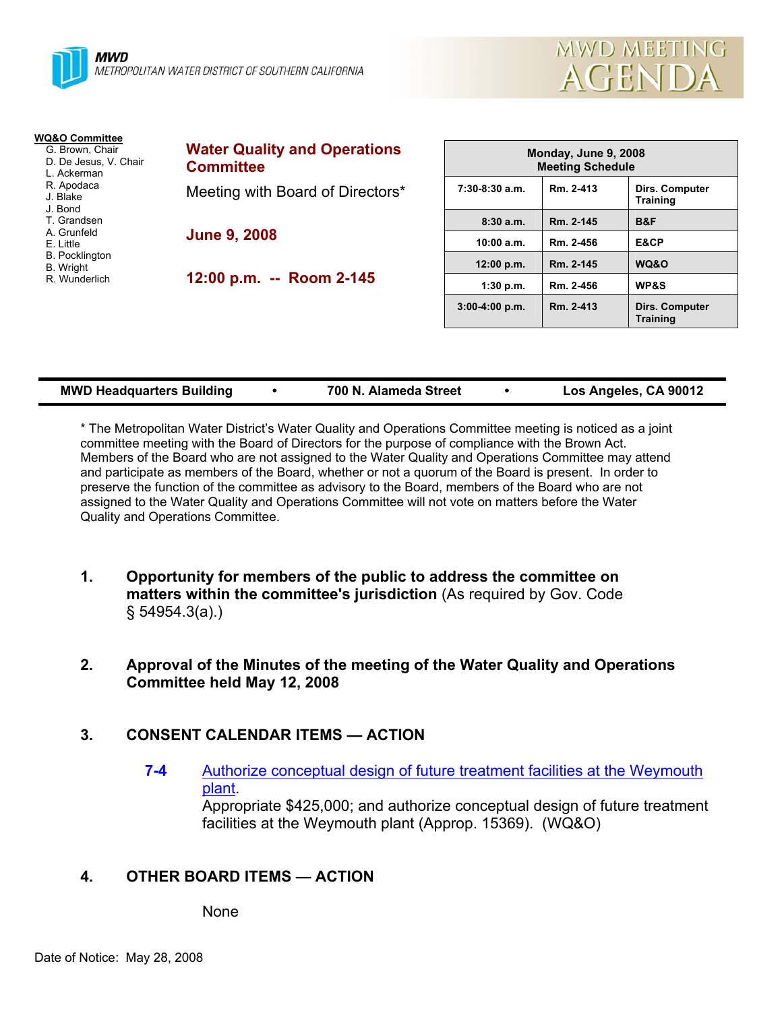



| <b>WQ&amp;O Committee</b><br>G. Brown, Chair<br>D. De Jesus, V. Chair<br>L. Ackerman | <b>Water Quality and Operations</b><br><b>Committee</b> |     |  |
|--------------------------------------------------------------------------------------|---------------------------------------------------------|-----|--|
| R. Apodaca<br>J. Blake<br>J. Bond                                                    | Meeting with Board of Directors*                        | 7:3 |  |
| T. Grandsen<br>A. Grunfeld<br>E. Little<br><b>B.</b> Pocklington                     | <b>June 9, 2008</b>                                     |     |  |
| <b>B.</b> Wright<br>R. Wunderlich                                                    | 12:00 p.m. -- Room 2-145                                |     |  |

| Monday, June 9, 2008<br><b>Meeting Schedule</b> |           |                                          |  |  |  |
|-------------------------------------------------|-----------|------------------------------------------|--|--|--|
| $7:30-8:30$ a.m.                                | Rm. 2-413 | <b>Dirs. Computer</b><br><b>Training</b> |  |  |  |
| 8:30a.m.                                        | Rm. 2-145 | B&F                                      |  |  |  |
| 10:00 a.m.                                      | Rm. 2-456 | E&CP                                     |  |  |  |
| 12:00 p.m.                                      | Rm. 2-145 | WQ&O                                     |  |  |  |
| 1:30 p.m.                                       | Rm. 2-456 | <b>WP&amp;S</b>                          |  |  |  |
| $3:00-4:00 p.m.$                                | Rm. 2-413 | Dirs. Computer<br><b>Training</b>        |  |  |  |

| <b>MWD Headquarters Building</b> |  | 700 N. Alameda Street |  | Los Angeles, CA 90012 |
|----------------------------------|--|-----------------------|--|-----------------------|
|----------------------------------|--|-----------------------|--|-----------------------|

\* The Metropolitan Water District's Water Quality and Operations Committee meeting is noticed as a joint committee meeting with the Board of Directors for the purpose of compliance with the Brown Act. Members of the Board who are not assigned to the Water Quality and Operations Committee may attend and participate as members of the Board, whether or not a quorum of the Board is present. In order to preserve the function of the committee as advisory to the Board, members of the Board who are not assigned to the Water Quality and Operations Committee will not vote on matters before the Water Quality and Operations Committee.

- **1. Opportunity for members of the public to address the committee on matters within the committee's jurisdiction** (As required by Gov. Code § 54954.3(a).)
- **2. Approval of the Minutes of the meeting of the Water Quality and Operations Committee held May 12, 2008**

# **3. CONSENT CALENDAR ITEMS — ACTION**

**7-4** Authorize conceptual design of future treatment facilities at the Weymouth plant.

> Appropriate \$425,000; and authorize conceptual design of future treatment facilities at the Weymouth plant (Approp. 15369). (WQ&O)

# **4. OTHER BOARD ITEMS — ACTION**

None